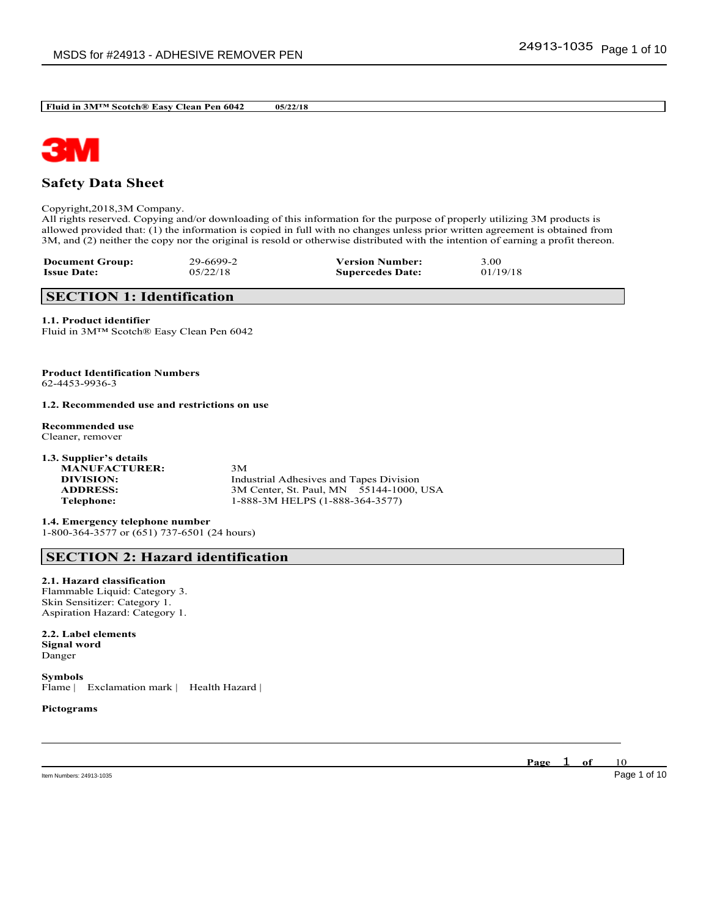

# **Safety Data Sheet**

Copyright,2018,3M Company.

All rights reserved. Copying and/or downloading of this information for the purpose of properly utilizing 3M products is allowed provided that: (1) the information is copied in full with no changes unless prior written agreement is obtained from 3M, and (2) neither the copy nor the original is resold or otherwise distributed with the intention of earning a profit thereon.

\_\_\_\_\_\_\_\_\_\_\_\_\_\_\_\_\_\_\_\_\_\_\_\_\_\_\_\_\_\_\_\_\_\_\_\_\_\_\_\_\_\_\_\_\_\_\_\_\_\_\_\_\_\_\_\_\_\_\_\_\_\_\_\_\_\_\_\_\_\_\_\_\_\_\_\_\_\_\_\_\_\_\_\_\_\_\_\_\_\_

| <b>Document Group:</b> | 29-6699-2 | <b>Version Number:</b>  | 3.00     |
|------------------------|-----------|-------------------------|----------|
| <b>Issue Date:</b>     | 05/22/18  | <b>Supercedes Date:</b> | 01/19/18 |

# **SECTION 1: Identification**

**1.1. Product identifier** Fluid in 3M™ Scotch® Easy Clean Pen 6042

**Product Identification Numbers** 62-4453-9936-3

**1.2. Recommended use and restrictions on use**

**Recommended use** Cleaner, remover

| 1.3. Supplier's details |                                         |
|-------------------------|-----------------------------------------|
| <b>MANUFACTURER:</b>    | 3M                                      |
| DIVISION:               | Industrial Adhesives and Tapes Division |
| <b>ADDRESS:</b>         | 3M Center, St. Paul, MN 55144-1000, USA |
| Telephone:              | 1-888-3M HELPS (1-888-364-3577)         |
|                         |                                         |

**1.4. Emergency telephone number** 1-800-364-3577 or (651) 737-6501 (24 hours)

# **SECTION 2: Hazard identification**

**2.1. Hazard classification**

Flammable Liquid: Category 3. Skin Sensitizer: Category 1. Aspiration Hazard: Category 1.

**2.2. Label elements Signal word** Danger

**Symbols** Flame | Exclamation mark | Health Hazard |

**Pictograms**

Item Numbers: 24913-1035 Page 1 of 10

**Page** 1 **of** 10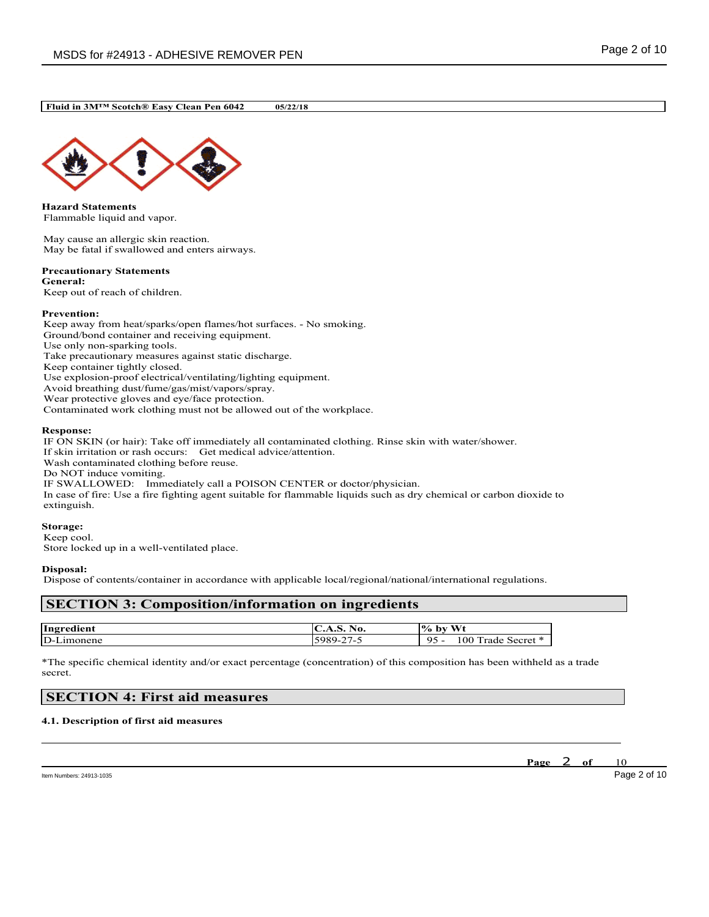

**Hazard Statements** Flammable liquid and vapor.

May cause an allergic skin reaction. May be fatal if swallowed and enters airways.

### **Precautionary Statements General:**

Keep out of reach of children.

## **Prevention:**

Keep away from heat/sparks/open flames/hot surfaces. - No smoking. Ground/bond container and receiving equipment. Use only non-sparking tools. Take precautionary measures against static discharge. Keep container tightly closed. Use explosion-proof electrical/ventilating/lighting equipment. Avoid breathing dust/fume/gas/mist/vapors/spray. Wear protective gloves and eye/face protection. Contaminated work clothing must not be allowed out of the workplace.

## **Response:**

IF ON SKIN (or hair): Take off immediately all contaminated clothing. Rinse skin with water/shower. If skin irritation or rash occurs: Get medical advice/attention. Wash contaminated clothing before reuse. Do NOT induce vomiting. IF SWALLOWED: Immediately call a POISON CENTER or doctor/physician. In case of fire: Use a fire fighting agent suitable for flammable liquids such as dry chemical or carbon dioxide to extinguish.

**Storage:**

Keep cool. Store locked up in a well-ventilated place.

## **Disposal:**

Dispose of contents/container in accordance with applicable local/regional/national/international regulations.

# **SECTION 3: Composition/information on ingredients**

| Ingredi<br>edient              | N0.<br>$\mathbf{v}$ . $\mathbf{v}$ | $\mathbf{W}$<br>$\frac{10}{6}$<br>bv                     |
|--------------------------------|------------------------------------|----------------------------------------------------------|
| $\mathbf{D}$ -<br>__<br>nonene | $\sim$ $-$<br>.<br>⊶-              | $\alpha$<br>0 <sup>0</sup><br>- -<br>Secret<br>rade<br>- |

\*The specific chemical identity and/or exact percentage (concentration) of this composition has been withheld as a trade secret.

\_\_\_\_\_\_\_\_\_\_\_\_\_\_\_\_\_\_\_\_\_\_\_\_\_\_\_\_\_\_\_\_\_\_\_\_\_\_\_\_\_\_\_\_\_\_\_\_\_\_\_\_\_\_\_\_\_\_\_\_\_\_\_\_\_\_\_\_\_\_\_\_\_\_\_\_\_\_\_\_\_\_\_\_\_\_\_\_\_\_

# **SECTION 4: First aid measures**

## **4.1. Description of first aid measures**

**Page** 2 **of** 10

Item Numbers: 24913-1035 Page 2 of 10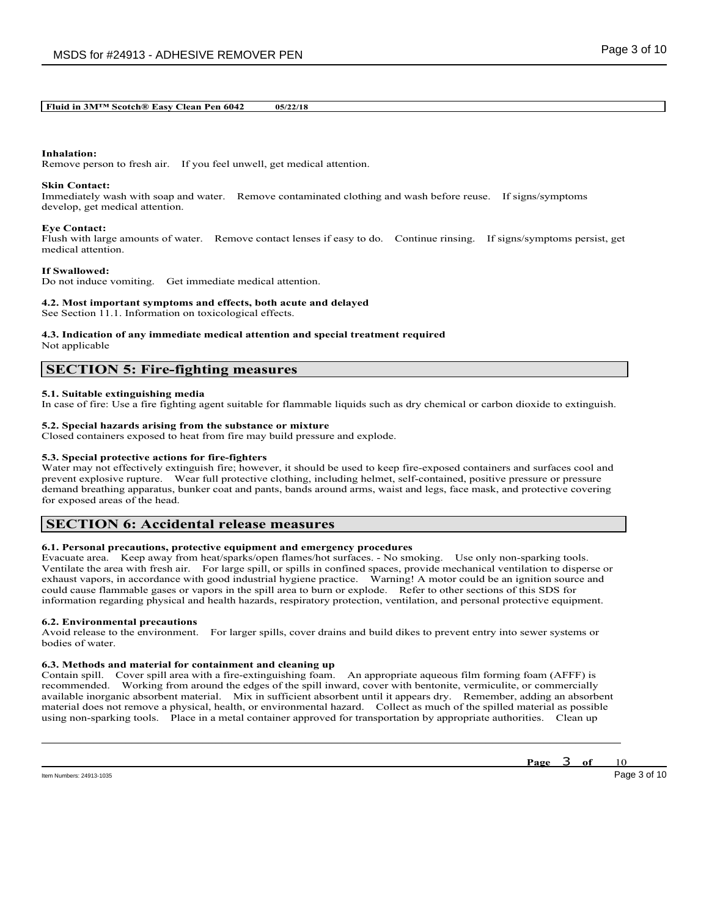# **Inhalation:**

Remove person to fresh air. If you feel unwell, get medical attention.

### **Skin Contact:**

Immediately wash with soap and water. Remove contaminated clothing and wash before reuse. If signs/symptoms develop, get medical attention.

### **Eye Contact:**

Flush with large amounts of water. Remove contact lenses if easy to do. Continue rinsing. If signs/symptoms persist, get medical attention.

### **If Swallowed:**

Do not induce vomiting. Get immediate medical attention.

### **4.2. Most important symptoms and effects, both acute and delayed**

See Section 11.1. Information on toxicological effects.

### **4.3. Indication of any immediate medical attention and special treatment required** Not applicable

# **SECTION 5: Fire-fighting measures**

### **5.1. Suitable extinguishing media**

In case of fire: Use a fire fighting agent suitable for flammable liquids such as dry chemical or carbon dioxide to extinguish.

## **5.2. Special hazards arising from the substance or mixture**

Closed containers exposed to heat from fire may build pressure and explode.

### **5.3. Special protective actions for fire-fighters**

Water may not effectively extinguish fire; however, it should be used to keep fire-exposed containers and surfaces cool and prevent explosive rupture. Wear full protective clothing, including helmet, self-contained, positive pressure or pressure demand breathing apparatus, bunker coat and pants, bands around arms, waist and legs, face mask, and protective covering for exposed areas of the head.

# **SECTION 6: Accidental release measures**

## **6.1. Personal precautions, protective equipment and emergency procedures**

Evacuate area. Keep away from heat/sparks/open flames/hot surfaces. - No smoking. Use only non-sparking tools. Ventilate the area with fresh air. For large spill, or spills in confined spaces, provide mechanical ventilation to disperse or exhaust vapors, in accordance with good industrial hygiene practice. Warning! A motor could be an ignition source and could cause flammable gases or vapors in the spill area to burn or explode. Refer to other sections of this SDS for information regarding physical and health hazards, respiratory protection, ventilation, and personal protective equipment.

### **6.2. Environmental precautions**

Avoid release to the environment. For larger spills, cover drains and build dikes to prevent entry into sewer systems or bodies of water.

### **6.3. Methods and material for containment and cleaning up**

Contain spill. Cover spill area with a fire-extinguishing foam. An appropriate aqueous film forming foam (AFFF) is recommended. Working from around the edges of the spill inward, cover with bentonite, vermiculite, or commercially available inorganic absorbent material. Mix in sufficient absorbent until it appears dry. Remember, adding an absorbent material does not remove a physical, health, or environmental hazard. Collect as much of the spilled material as possible using non-sparking tools. Place in a metal container approved for transportation by appropriate authorities. Clean up

\_\_\_\_\_\_\_\_\_\_\_\_\_\_\_\_\_\_\_\_\_\_\_\_\_\_\_\_\_\_\_\_\_\_\_\_\_\_\_\_\_\_\_\_\_\_\_\_\_\_\_\_\_\_\_\_\_\_\_\_\_\_\_\_\_\_\_\_\_\_\_\_\_\_\_\_\_\_\_\_\_\_\_\_\_\_\_\_\_\_

Item Numbers: 24913-1035 Page 3 of 10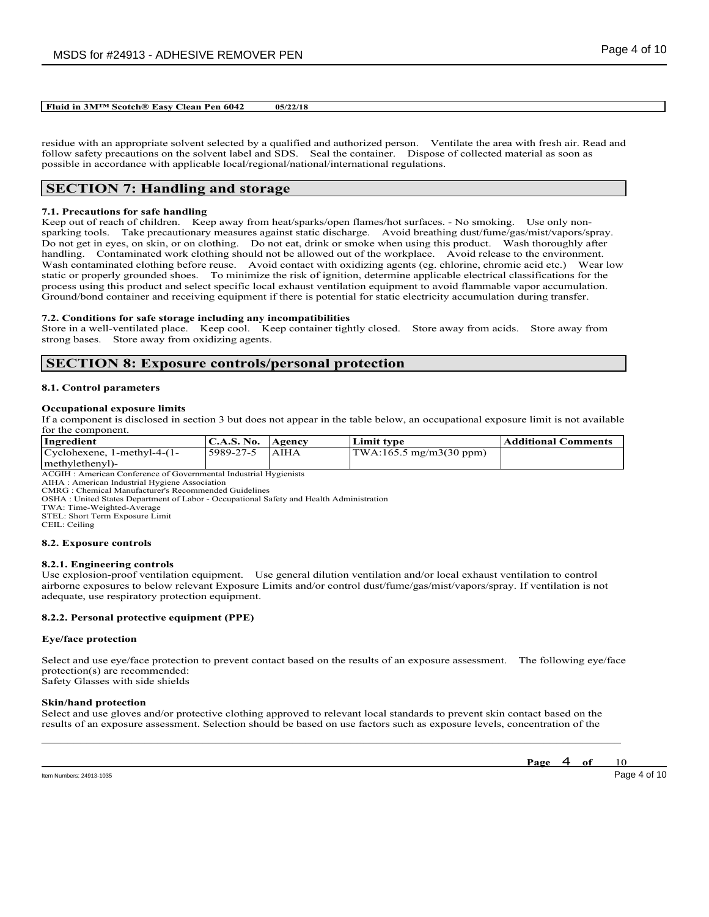residue with an appropriate solvent selected by a qualified and authorized person. Ventilate the area with fresh air. Read and follow safety precautions on the solvent label and SDS. Seal the container. Dispose of collected material as soon as possible in accordance with applicable local/regional/national/international regulations.

# **SECTION 7: Handling and storage**

## **7.1. Precautions for safe handling**

Keep out of reach of children. Keep away from heat/sparks/open flames/hot surfaces. - No smoking. Use only nonsparking tools. Take precautionary measures against static discharge. Avoid breathing dust/fume/gas/mist/vapors/spray. Do not get in eyes, on skin, or on clothing. Do not eat, drink or smoke when using this product. Wash thoroughly after handling. Contaminated work clothing should not be allowed out of the workplace. Avoid release to the environment. Wash contaminated clothing before reuse. Avoid contact with oxidizing agents (eg. chlorine, chromic acid etc.) Wear low static or properly grounded shoes. To minimize the risk of ignition, determine applicable electrical classifications for the process using this product and select specific local exhaust ventilation equipment to avoid flammable vapor accumulation. Ground/bond container and receiving equipment if there is potential for static electricity accumulation during transfer.

### **7.2. Conditions for safe storage including any incompatibilities**

Store in a well-ventilated place. Keep cool. Keep container tightly closed. Store away from acids. Store away from strong bases. Store away from oxidizing agents.

# **SECTION 8: Exposure controls/personal protection**

### **8.1. Control parameters**

### **Occupational exposure limits**

If a component is disclosed in section 3 but does not appear in the table below, an occupational exposure limit is not available for the component.

| Ingredient                                                        | C.A.S. No.   Agency |             | Limit tvpe                                       | Additional Comments |  |  |
|-------------------------------------------------------------------|---------------------|-------------|--------------------------------------------------|---------------------|--|--|
| $Cyclohexene$ , 1-methyl-4- $(1-$                                 | 5989-27-5           | <b>AIHA</b> | $\text{TWA}:165.5 \text{ mg/m}3(30 \text{ ppm})$ |                     |  |  |
| methylethenyl)-                                                   |                     |             |                                                  |                     |  |  |
| ACCIU · American Conference of Covernmental Industrial Hygienists |                     |             |                                                  |                     |  |  |

ACGIH : American Conference of Governmental Industrial Hygienists AIHA : American Industrial Hygiene Association

CMRG : Chemical Manufacturer's Recommended Guidelines

OSHA : United States Department of Labor - Occupational Safety and Health Administration

TWA: Time-Weighted-Average

STEL: Short Term Exposure Limit

CEIL: Ceiling

### **8.2. Exposure controls**

## **8.2.1. Engineering controls**

Use explosion-proof ventilation equipment. Use general dilution ventilation and/or local exhaust ventilation to control airborne exposures to below relevant Exposure Limits and/or control dust/fume/gas/mist/vapors/spray. If ventilation is not adequate, use respiratory protection equipment.

## **8.2.2. Personal protective equipment (PPE)**

### **Eye/face protection**

Select and use eye/face protection to prevent contact based on the results of an exposure assessment. The following eye/face protection(s) are recommended: Safety Glasses with side shields

### **Skin/hand protection**

Select and use gloves and/or protective clothing approved to relevant local standards to prevent skin contact based on the results of an exposure assessment. Selection should be based on use factors such as exposure levels, concentration of the

\_\_\_\_\_\_\_\_\_\_\_\_\_\_\_\_\_\_\_\_\_\_\_\_\_\_\_\_\_\_\_\_\_\_\_\_\_\_\_\_\_\_\_\_\_\_\_\_\_\_\_\_\_\_\_\_\_\_\_\_\_\_\_\_\_\_\_\_\_\_\_\_\_\_\_\_\_\_\_\_\_\_\_\_\_\_\_\_\_\_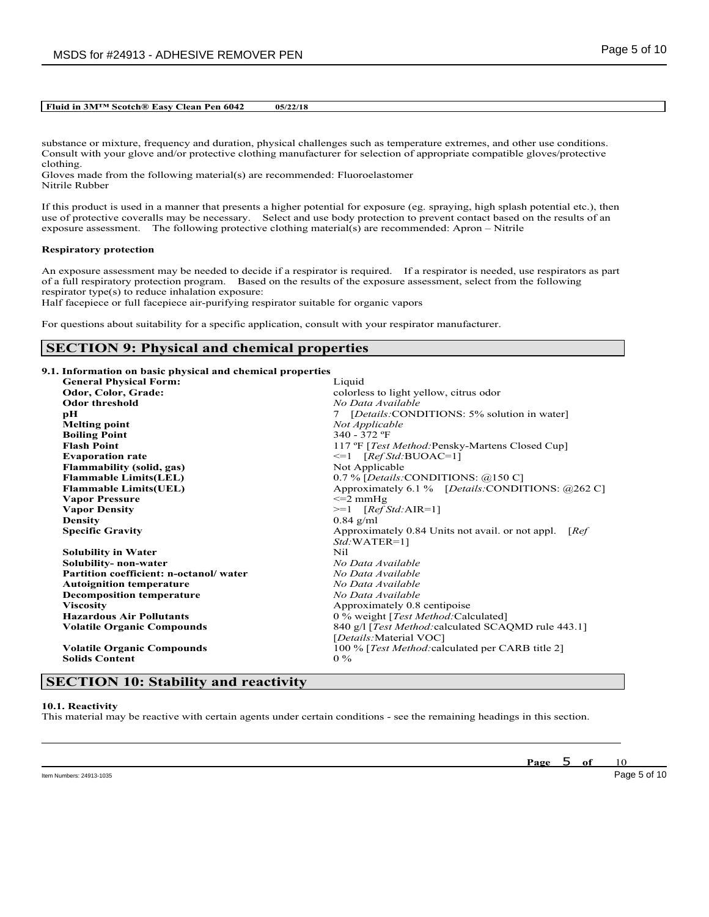substance or mixture, frequency and duration, physical challenges such as temperature extremes, and other use conditions. Consult with your glove and/or protective clothing manufacturer for selection of appropriate compatible gloves/protective clothing.

Gloves made from the following material(s) are recommended: Fluoroelastomer Nitrile Rubber

If this product is used in a manner that presents a higher potential for exposure (eg. spraying, high splash potential etc.), then use of protective coveralls may be necessary. Select and use body protection to prevent contact based on the results of an exposure assessment. The following protective clothing material(s) are recommended: Apron – Nitrile

### **Respiratory protection**

An exposure assessment may be needed to decide if a respirator is required. If a respirator is needed, use respirators as part of a full respiratory protection program. Based on the results of the exposure assessment, select from the following respirator type(s) to reduce inhalation exposure:

Half facepiece or full facepiece air-purifying respirator suitable for organic vapors

For questions about suitability for a specific application, consult with your respirator manufacturer.

# **SECTION 9: Physical and chemical properties**

|  |  |  |  | 9.1. Information on basic physical and chemical properties |  |
|--|--|--|--|------------------------------------------------------------|--|
|  |  |  |  |                                                            |  |

| <b>General Physical Form:</b>          | Liquid                                                    |
|----------------------------------------|-----------------------------------------------------------|
| Odor, Color, Grade:                    | colorless to light yellow, citrus odor                    |
| <b>Odor threshold</b>                  | No Data Available                                         |
| рH                                     | 7 [Details:CONDITIONS: 5% solution in water]              |
| <b>Melting point</b>                   | Not Applicable                                            |
| <b>Boiling Point</b>                   | 340 - 372 °F                                              |
| <b>Flash Point</b>                     | 117 °F [ <i>Test Method:Pensky-Martens Closed Cup</i> ]   |
| <b>Evaporation rate</b>                | $\leq 1$ [Ref Std:BUOAC=1]                                |
| <b>Flammability (solid, gas)</b>       | Not Applicable                                            |
| <b>Flammable Limits(LEL)</b>           | 0.7 % [Details:CONDITIONS: @150 C]                        |
| <b>Flammable Limits(UEL)</b>           | Approximately 6.1 % [Details:CONDITIONS: @262 C]          |
| <b>Vapor Pressure</b>                  | $\leq$ 2 mmHg                                             |
| <b>Vapor Density</b>                   | $>=1$ [Ref Std:AIR=1]                                     |
| <b>Density</b>                         | $0.84$ g/ml                                               |
| <b>Specific Gravity</b>                | Approximately 0.84 Units not avail. or not appl.<br>[Ref] |
|                                        | $Std: WATER=1$ ]                                          |
| <b>Solubility in Water</b>             | Nil.                                                      |
| Solubility- non-water                  | No Data Available                                         |
| Partition coefficient: n-octanol/water | No Data Available                                         |
| <b>Autoignition temperature</b>        | No Data Available                                         |
| <b>Decomposition temperature</b>       | No Data Available                                         |
| <b>Viscosity</b>                       | Approximately 0.8 centipoise                              |
| <b>Hazardous Air Pollutants</b>        | 0 % weight [ <i>Test Method</i> :Calculated]              |
| <b>Volatile Organic Compounds</b>      | 840 g/l [Test Method: calculated SCAQMD rule 443.1]       |
|                                        | [Details: Material VOC]                                   |
| <b>Volatile Organic Compounds</b>      | 100 % [Test Method: calculated per CARB title 2]          |
| <b>Solids Content</b>                  | $0\%$                                                     |

# **SECTION 10: Stability and reactivity**

### **10.1. Reactivity**

This material may be reactive with certain agents under certain conditions - see the remaining headings in this section.

\_\_\_\_\_\_\_\_\_\_\_\_\_\_\_\_\_\_\_\_\_\_\_\_\_\_\_\_\_\_\_\_\_\_\_\_\_\_\_\_\_\_\_\_\_\_\_\_\_\_\_\_\_\_\_\_\_\_\_\_\_\_\_\_\_\_\_\_\_\_\_\_\_\_\_\_\_\_\_\_\_\_\_\_\_\_\_\_\_\_

**Page** 5 **of** 10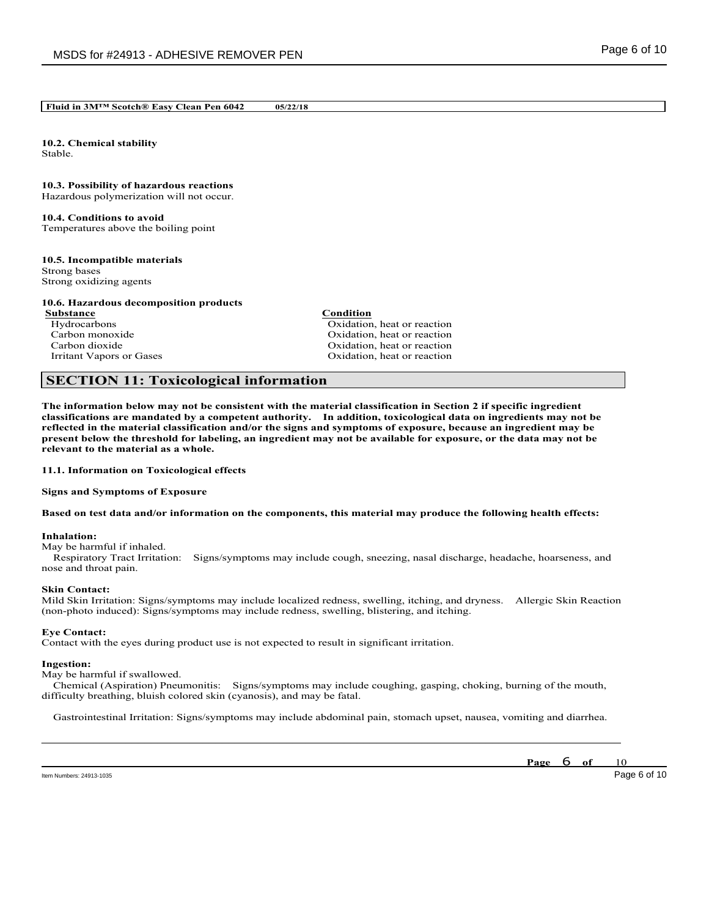**10.2. Chemical stability** Stable.

## **10.3. Possibility of hazardous reactions**

Hazardous polymerization will not occur.

# **10.4. Conditions to avoid**

Temperatures above the boiling point

## **10.5. Incompatible materials**

Strong bases Strong oxidizing agents

## **10.6. Hazardous decomposition products**

**Substance Condition**<br> **Condition**<br> **Condition**<br> **Condition** 

Hydrocarbons Carbons Carbons Carbons Carbons Carbons Carbons Carbons Carbons Carbons Carbons Carbons Carbons Carbons Carbons Carbons Carbons Carbons Carbons Carbons Carbons Carbons Carbons Carbons Carbons Carbons Carbons C Carbon monoxide Carbon dioxide Carbon dioxide Carbon dioxide Carbon dioxide Carbon dioxide Carbon dioxide Carbon dioxide Carbon dioxide Carbon dioxide Carbon dioxide Carbon dioxide Carbon dioxide Carbon dioxide Carbon diox Oxidation, heat or reaction Irritant Vapors or Gases **Oxidation**, heat or reaction

# **SECTION 11: Toxicological information**

The information below may not be consistent with the material classification in Section 2 if specific ingredient **classifications are mandated by a competent authority. In addition, toxicological data on ingredients may not be** reflected in the material classification and/or the signs and symptoms of exposure, because an ingredient may be present below the threshold for labeling, an ingredient may not be available for exposure, or the data may not be **relevant to the material as a whole.**

**11.1. Information on Toxicological effects**

**Signs and Symptoms of Exposure**

## Based on test data and/or information on the components, this material may produce the following health effects:

## **Inhalation:**

May be harmful if inhaled.

Respiratory Tract Irritation: Signs/symptoms may include cough, sneezing, nasal discharge, headache, hoarseness, and nose and throat pain.

### **Skin Contact:**

Mild Skin Irritation: Signs/symptoms may include localized redness, swelling, itching, and dryness. Allergic Skin Reaction (non-photo induced): Signs/symptoms may include redness, swelling, blistering, and itching.

## **Eye Contact:**

Contact with the eyes during product use is not expected to result in significant irritation.

### **Ingestion:**

May be harmful if swallowed.

Chemical (Aspiration) Pneumonitis: Signs/symptoms may include coughing, gasping, choking, burning of the mouth, difficulty breathing, bluish colored skin (cyanosis), and may be fatal.

\_\_\_\_\_\_\_\_\_\_\_\_\_\_\_\_\_\_\_\_\_\_\_\_\_\_\_\_\_\_\_\_\_\_\_\_\_\_\_\_\_\_\_\_\_\_\_\_\_\_\_\_\_\_\_\_\_\_\_\_\_\_\_\_\_\_\_\_\_\_\_\_\_\_\_\_\_\_\_\_\_\_\_\_\_\_\_\_\_\_ Gastrointestinal Irritation: Signs/symptoms may include abdominal pain, stomach upset, nausea, vomiting and diarrhea.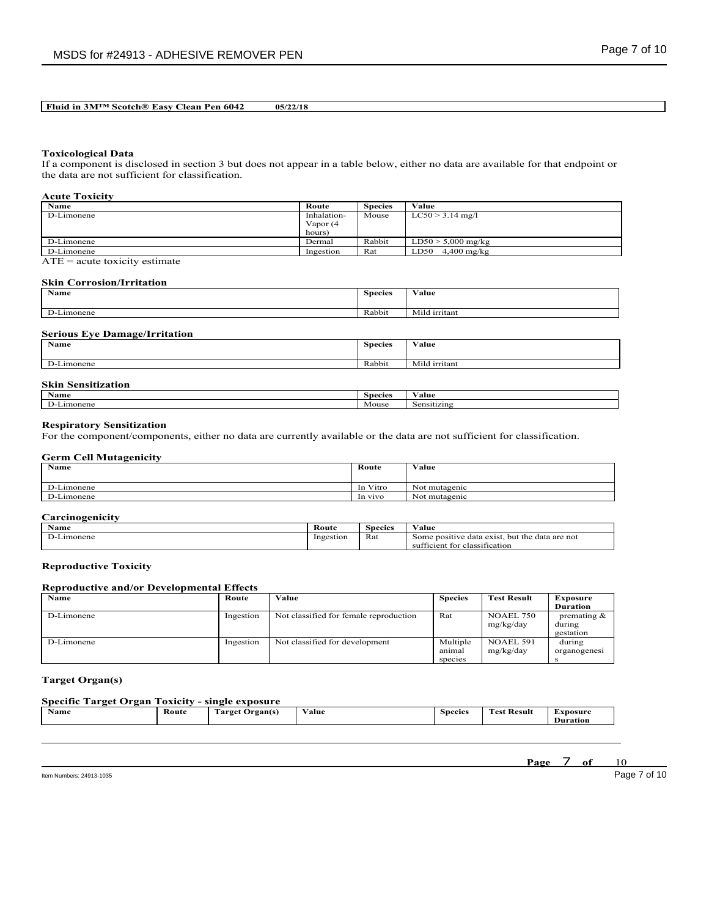### **Toxicological Data**

If a component is disclosed in section 3 but does not appear in a table below, either no data are available for that endpoint or the data are not sufficient for classification.

## **Acute Toxicity**

| Name       | Route       | <b>Species</b> | Value                 |
|------------|-------------|----------------|-----------------------|
| D-Limonene | Inhalation- | Mouse          | $LC50 > 3.14$ mg/l    |
|            | Vapor (4    |                |                       |
|            | hours)      |                |                       |
| D-Limonene | Dermal      | Rabbit         | $LD50 > 5,000$ mg/kg  |
| D-Limonene | Ingestion   | Rat            | $4,400$ mg/kg<br>LD50 |

ATE = acute toxicity estimate

### **Skin Corrosion/Irritation**

| <b>Name</b>              | <b>Species</b> | $ -$<br>Value |
|--------------------------|----------------|---------------|
|                          |                |               |
| $\mathbf{D}$<br>Limonene | Rabbit         | Mild irritant |

## **Serious Eye Damage/Irritation**

| Name     | <b>Species</b> | Value              |
|----------|----------------|--------------------|
| Limonene | Rabbit         | Mild<br>l irritant |

| <b>Skin</b><br>$\cdot \cdot$<br>Sensitization |                |                  |
|-----------------------------------------------|----------------|------------------|
| <b>Name</b>                                   | <b>Species</b> | $ -$<br>⁄ alue   |
| $\mathbf{D}$<br>D-Limonene                    | Mouse          | -<br>Sensitizing |

### **Respiratory Sensitization**

For the component/components, either no data are currently available or the data are not sufficient for classification.

## **Germ Cell Mutagenicity**

| <b>Name</b> | Route    | Value         |
|-------------|----------|---------------|
| D-Limonene  | In Vitro | Not mutagenic |
| D-Limonene  | In vivo  | Not mutagenic |

## **Carcinogenicity**

| $\sim$ $\sim$<br>Name   | Route     | <b>Species</b> | $-1$<br>∀alue                                                                               |
|-------------------------|-----------|----------------|---------------------------------------------------------------------------------------------|
| $\sim$<br>$\pm$ imonene | Ingestion | Rat            | data exist.<br>data are not<br>but the<br>Some positive<br>sufficient for<br>classification |

## **Reproductive Toxicity**

## **Reproductive and/or Developmental Effects**

| <b>Name</b> | Route     | Value                                  | <b>Species</b> | <b>Test Result</b> | Exposure       |
|-------------|-----------|----------------------------------------|----------------|--------------------|----------------|
|             |           |                                        |                |                    | Duration       |
| D-Limonene  | Ingestion | Not classified for female reproduction | Rat            | <b>NOAEL 750</b>   | premating $\&$ |
|             |           |                                        |                | mg/kg/day          | during         |
|             |           |                                        |                |                    | gestation      |
| D-Limonene  | Ingestion | Not classified for development         | Multiple       | NOAEL 591          | during         |
|             |           |                                        | animal         | mg/kg/day          | organogenesi   |
|             |           |                                        | species        |                    |                |

## **Target Organ(s)**

## **Specific Target Organ Toxicity - single exposure**

| $\mathbf{X}$<br>Name | --<br>Route<br>. | -<br>rarget<br><b>Organ</b> (s) | $-1$<br>V alue<br>$\cdots$ $\cdots$ | <b>Species</b><br>. . | <b>CONTRACT</b><br><b>Result</b><br>Fest | <b>Exposure</b><br><b>Duration</b> |
|----------------------|------------------|---------------------------------|-------------------------------------|-----------------------|------------------------------------------|------------------------------------|
|                      |                  |                                 |                                     |                       |                                          |                                    |

\_\_\_\_\_\_\_\_\_\_\_\_\_\_\_\_\_\_\_\_\_\_\_\_\_\_\_\_\_\_\_\_\_\_\_\_\_\_\_\_\_\_\_\_\_\_\_\_\_\_\_\_\_\_\_\_\_\_\_\_\_\_\_\_\_\_\_\_\_\_\_\_\_\_\_\_\_\_\_\_\_\_\_\_\_\_\_\_\_\_

Item Numbers: 24913-1035 Page 7 of 10

**Page** 7 **of** 10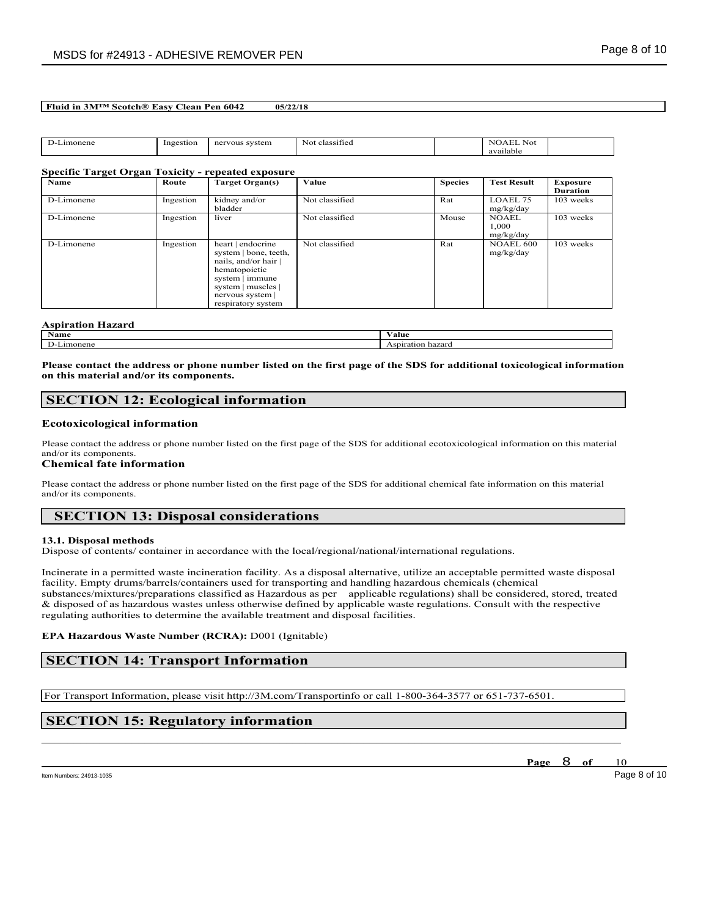| .ımonene<br>. | Ingestion | system<br>ner<br><b>VOUS</b> | . .<br>classified<br>N <sub>O</sub> | <b>XX</b><br>NOALL.<br>Not<br>available |  |
|---------------|-----------|------------------------------|-------------------------------------|-----------------------------------------|--|
|               |           |                              |                                     |                                         |  |

## **Specific Target Organ Toxicity - repeated exposure**

| <b>Name</b> | Route     | Target Organ(s)                                                                                                                                                    | Value          | <b>Species</b> | <b>Test Result</b>                 | <b>Exposure</b> |
|-------------|-----------|--------------------------------------------------------------------------------------------------------------------------------------------------------------------|----------------|----------------|------------------------------------|-----------------|
|             |           |                                                                                                                                                                    |                |                |                                    | <b>Duration</b> |
| D-Limonene  | Ingestion | kidney and/or<br>bladder                                                                                                                                           | Not classified | Rat            | LOAEL 75<br>mg/kg/day              | 103 weeks       |
| D-Limonene  | Ingestion | liver                                                                                                                                                              | Not classified | Mouse          | <b>NOAEL</b><br>1.000<br>mg/kg/day | 103 weeks       |
| D-Limonene  | Ingestion | heart   endocrine<br>system   bone, teeth,<br>nails, and/or hair<br>hematopoietic<br>system   immune<br>system   muscles  <br>nervous system<br>respiratory system | Not classified | Rat            | NOAEL 600<br>mg/kg/day             | 103 weeks       |

| <b>Aspiration F</b><br>azard |                      |  |  |  |
|------------------------------|----------------------|--|--|--|
| <b>Name</b>                  | Value                |  |  |  |
| $\mathbf{D}$<br>onene<br>ım  | Aspiration<br>hazard |  |  |  |

Please contact the address or phone number listed on the first page of the SDS for additional toxicological information **on this material and/or its components.**

# **SECTION 12: Ecological information**

### **Ecotoxicological information**

Please contact the address or phone number listed on the first page of the SDS for additional ecotoxicological information on this material and/or its components.

## **Chemical fate information**

Please contact the address or phone number listed on the first page of the SDS for additional chemical fate information on this material and/or its components.

# **SECTION 13: Disposal considerations**

### **13.1. Disposal methods**

Dispose of contents/ container in accordance with the local/regional/national/international regulations.

Incinerate in a permitted waste incineration facility. As a disposal alternative, utilize an acceptable permitted waste disposal facility. Empty drums/barrels/containers used for transporting and handling hazardous chemicals (chemical substances/mixtures/preparations classified as Hazardous as per applicable regulations) shall be considered, stored, treated & disposed of as hazardous wastes unless otherwise defined by applicable waste regulations. Consult with the respective regulating authorities to determine the available treatment and disposal facilities.

\_\_\_\_\_\_\_\_\_\_\_\_\_\_\_\_\_\_\_\_\_\_\_\_\_\_\_\_\_\_\_\_\_\_\_\_\_\_\_\_\_\_\_\_\_\_\_\_\_\_\_\_\_\_\_\_\_\_\_\_\_\_\_\_\_\_\_\_\_\_\_\_\_\_\_\_\_\_\_\_\_\_\_\_\_\_\_\_\_\_

### **EPA Hazardous Waste Number (RCRA):** D001 (Ignitable)

# **SECTION 14: Transport Information**

For Transport Information, please visit http://3M.com/Transportinfo or call 1-800-364-3577 or 651-737-6501.

# **SECTION 15: Regulatory information**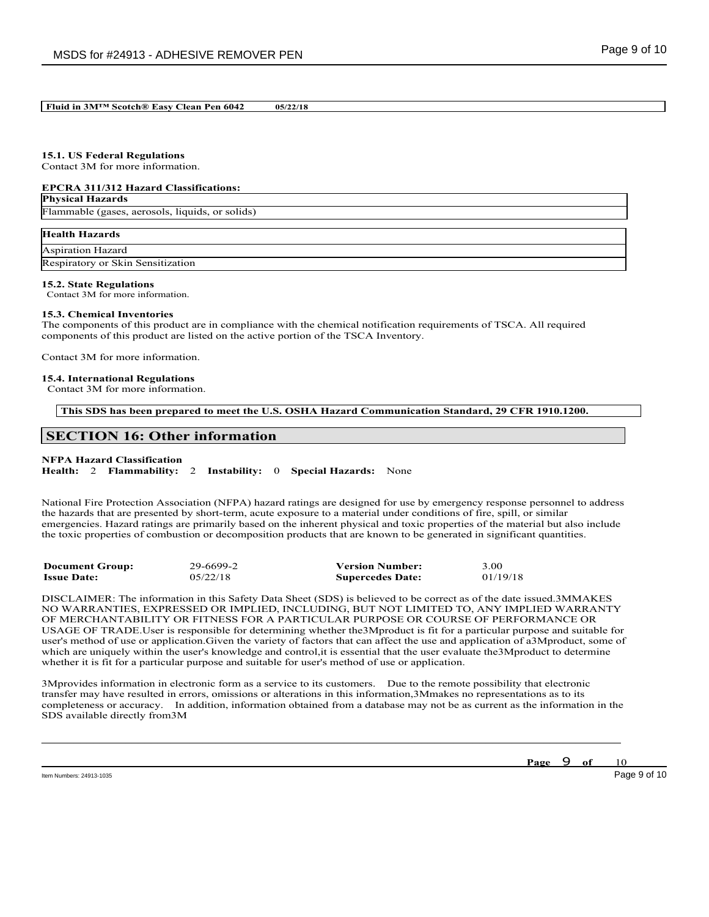# **15.1. US Federal Regulations**

Contact 3M for more information.

### **EPCRA 311/312 Hazard Classifications:**

## **Physical Hazards**

Flammable (gases, aerosols, liquids, or solids)

| <b>Health Hazards</b>             |
|-----------------------------------|
| Aspiration Hazard                 |
| Respiratory or Skin Sensitization |

## **15.2. State Regulations**

Contact 3M for more information.

### **15.3. Chemical Inventories**

The components of this product are in compliance with the chemical notification requirements of TSCA. All required components of this product are listed on the active portion of the TSCA Inventory.

Contact 3M for more information.

### **15.4. International Regulations**

Contact 3M for more information.

**This SDS has been prepared to meet the U.S. OSHA Hazard Communication Standard, 29 CFR 1910.1200.**

# **SECTION 16: Other information**

## **NFPA Hazard Classification**

**Health:** 2 **Flammability:** 2 **Instability:** 0 **Special Hazards:** None

National Fire Protection Association (NFPA) hazard ratings are designed for use by emergency response personnel to address the hazards that are presented by short-term, acute exposure to a material under conditions of fire, spill, or similar emergencies. Hazard ratings are primarily based on the inherent physical and toxic properties of the material but also include the toxic properties of combustion or decomposition products that are known to be generated in significant quantities.

| <b>Document Group:</b> | 29-6699-2 | <b>Version Number:</b>  | 3.00     |
|------------------------|-----------|-------------------------|----------|
| <b>Issue Date:</b>     | 05/22/18  | <b>Supercedes Date:</b> | 01/19/18 |

DISCLAIMER: The information in this Safety Data Sheet (SDS) is believed to be correct as of the date issued.3MMAKES NO WARRANTIES, EXPRESSED OR IMPLIED, INCLUDING, BUT NOT LIMITED TO, ANY IMPLIED WARRANTY OF MERCHANTABILITY OR FITNESS FOR A PARTICULAR PURPOSE OR COURSE OF PERFORMANCE OR USAGE OF TRADE.User is responsible for determining whether the3Mproduct is fit for a particular purpose and suitable for user's method of use or application.Given the variety of factors that can affect the use and application of a3Mproduct, some of which are uniquely within the user's knowledge and control, it is essential that the user evaluate the 3M product to determine whether it is fit for a particular purpose and suitable for user's method of use or application.

3Mprovides information in electronic form as a service to its customers. Due to the remote possibility that electronic transfer may have resulted in errors, omissions or alterations in this information,3Mmakes no representations as to its completeness or accuracy. In addition, information obtained from a database may not be as current as the information in the SDS available directly from3M

\_\_\_\_\_\_\_\_\_\_\_\_\_\_\_\_\_\_\_\_\_\_\_\_\_\_\_\_\_\_\_\_\_\_\_\_\_\_\_\_\_\_\_\_\_\_\_\_\_\_\_\_\_\_\_\_\_\_\_\_\_\_\_\_\_\_\_\_\_\_\_\_\_\_\_\_\_\_\_\_\_\_\_\_\_\_\_\_\_\_

Item Numbers: 24913-1035 Page 9 of 10